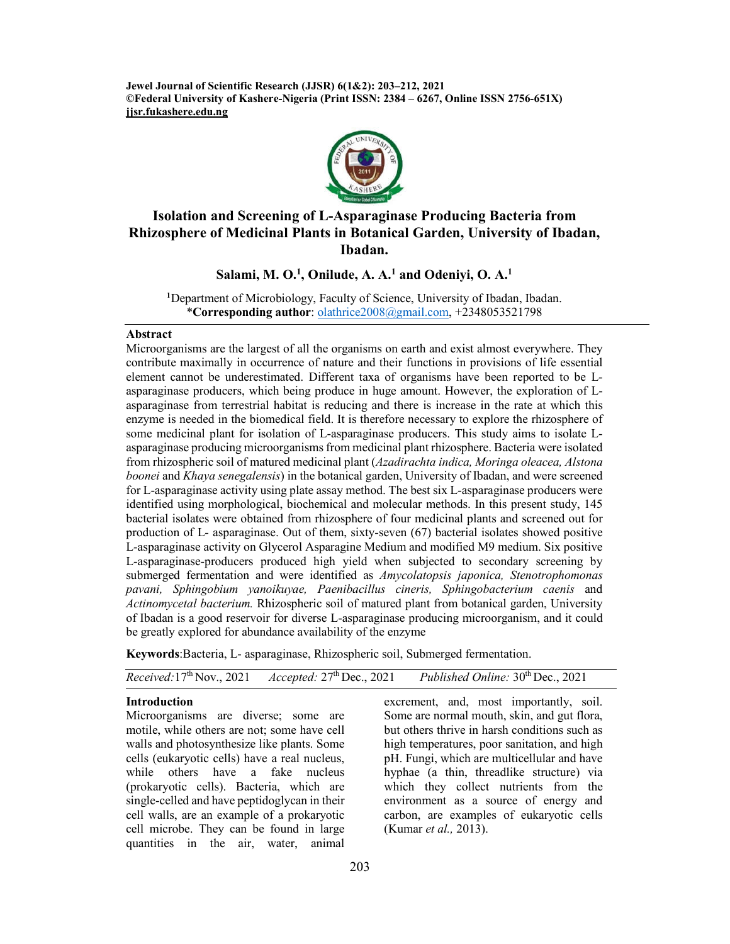**Jewel Journal of Scientific Research (JJSR) 6(1&2): 203–212, 2021 ©Federal University of Kashere-Nigeria (Print ISSN: 2384 – 6267, Online ISSN 2756-651X) jjsr.fukashere.edu.ng**



# **Isolation and Screening of L-Asparaginase Producing Bacteria from Rhizosphere of Medicinal Plants in Botanical Garden, University of Ibadan, Ibadan.**

**Salami, M. O.1 , Onilude, A. A.1 and Odeniyi, O. A.1**

**1** Department of Microbiology, Faculty of Science, University of Ibadan, Ibadan. \***Corresponding author**: olathrice2008@gmail.com, +2348053521798

# **Abstract**

Microorganisms are the largest of all the organisms on earth and exist almost everywhere. They contribute maximally in occurrence of nature and their functions in provisions of life essential element cannot be underestimated. Different taxa of organisms have been reported to be Lasparaginase producers, which being produce in huge amount. However, the exploration of Lasparaginase from terrestrial habitat is reducing and there is increase in the rate at which this enzyme is needed in the biomedical field. It is therefore necessary to explore the rhizosphere of some medicinal plant for isolation of L-asparaginase producers. This study aims to isolate Lasparaginase producing microorganisms from medicinal plant rhizosphere. Bacteria were isolated from rhizospheric soil of matured medicinal plant (*Azadirachta indica, Moringa oleacea, Alstona boonei* and *Khaya senegalensis*) in the botanical garden, University of Ibadan, and were screened for L-asparaginase activity using plate assay method. The best six L-asparaginase producers were identified using morphological, biochemical and molecular methods. In this present study, 145 bacterial isolates were obtained from rhizosphere of four medicinal plants and screened out for production of L- asparaginase. Out of them, sixty-seven (67) bacterial isolates showed positive L-asparaginase activity on Glycerol Asparagine Medium and modified M9 medium. Six positive L-asparaginase-producers produced high yield when subjected to secondary screening by submerged fermentation and were identified as *Amycolatopsis japonica, Stenotrophomonas pavani, Sphingobium yanoikuyae, Paenibacillus cineris, Sphingobacterium caenis* and *Actinomycetal bacterium.* Rhizospheric soil of matured plant from botanical garden, University of Ibadan is a good reservoir for diverse L-asparaginase producing microorganism, and it could be greatly explored for abundance availability of the enzyme

**Keywords**:Bacteria, L- asparaginase, Rhizospheric soil, Submerged fermentation.

|  | <i>Received</i> : $17th$ Nov., 2021 | <i>Accepted</i> : $27th$ Dec., 2021 | Published Online: $30th$ Dec., 2021 |
|--|-------------------------------------|-------------------------------------|-------------------------------------|
|--|-------------------------------------|-------------------------------------|-------------------------------------|

#### **Introduction**

Microorganisms are diverse; some are motile, while others are not; some have cell walls and photosynthesize like plants. Some cells (eukaryotic cells) have a real nucleus, while others have a fake nucleus (prokaryotic cells). Bacteria, which are single-celled and have peptidoglycan in their cell walls, are an example of a prokaryotic cell microbe. They can be found in large quantities in the air, water, animal

excrement, and, most importantly, soil. Some are normal mouth, skin, and gut flora, but others thrive in harsh conditions such as high temperatures, poor sanitation, and high pH. Fungi, which are multicellular and have hyphae (a thin, threadlike structure) via which they collect nutrients from the environment as a source of energy and carbon, are examples of eukaryotic cells (Kumar *et al.,* 2013).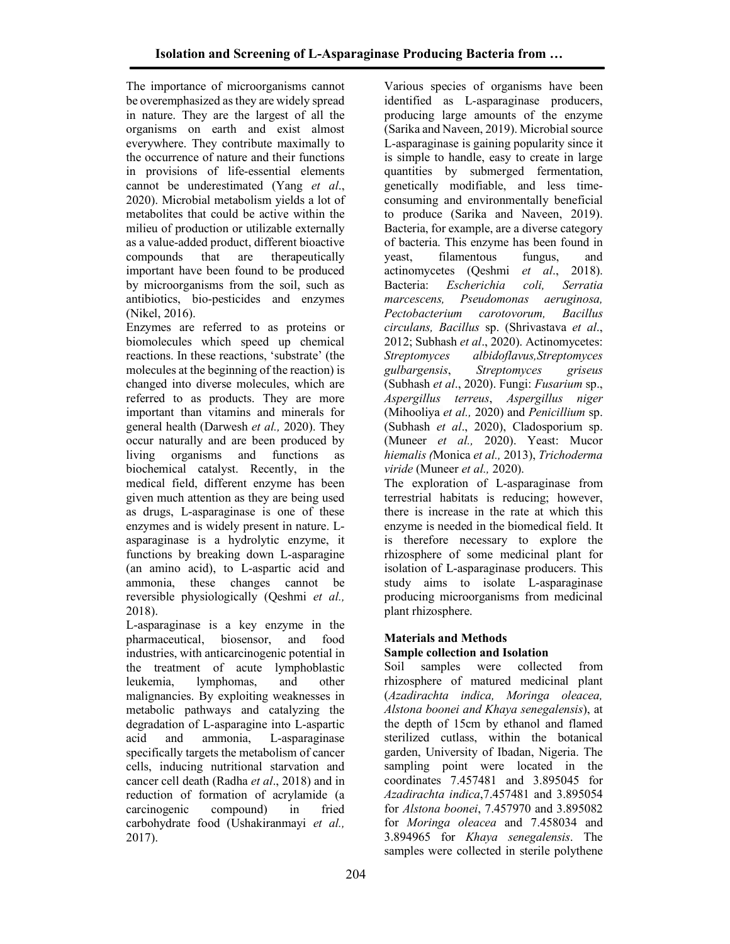The importance of microorganisms cannot be overemphasized as they are widely spread in nature. They are the largest of all the organisms on earth and exist almost everywhere. They contribute maximally to the occurrence of nature and their functions in provisions of life-essential elements cannot be underestimated (Yang *et al*., 2020). Microbial metabolism yields a lot of metabolites that could be active within the milieu of production or utilizable externally as a value-added product, different bioactive compounds that are therapeutically important have been found to be produced by microorganisms from the soil, such as antibiotics, bio-pesticides and enzymes (Nikel, 2016).

Enzymes are referred to as proteins or biomolecules which speed up chemical reactions. In these reactions, 'substrate' (the molecules at the beginning of the reaction) is changed into diverse molecules, which are referred to as products. They are more important than vitamins and minerals for general health (Darwesh *et al.,* 2020). They occur naturally and are been produced by living organisms and functions as biochemical catalyst. Recently, in the medical field, different enzyme has been given much attention as they are being used as drugs, L-asparaginase is one of these enzymes and is widely present in nature. Lasparaginase is a hydrolytic enzyme, it functions by breaking down L-asparagine (an amino acid), to L-aspartic acid and ammonia, these changes cannot be reversible physiologically (Qeshmi *et al.,* 2018).

L-asparaginase is a key enzyme in the pharmaceutical, biosensor, and food industries, with anticarcinogenic potential in the treatment of acute lymphoblastic leukemia, lymphomas, and other malignancies. By exploiting weaknesses in metabolic pathways and catalyzing the degradation of L-asparagine into L-aspartic acid and ammonia, L-asparaginase specifically targets the metabolism of cancer cells, inducing nutritional starvation and cancer cell death (Radha *et al*., 2018) and in reduction of formation of acrylamide (a carcinogenic compound) in fried carbohydrate food (Ushakiranmayi *et al.,* 2017).

Various species of organisms have been identified as L-asparaginase producers, producing large amounts of the enzyme (Sarika and Naveen, 2019). Microbial source L-asparaginase is gaining popularity since it is simple to handle, easy to create in large quantities by submerged fermentation, genetically modifiable, and less timeconsuming and environmentally beneficial to produce (Sarika and Naveen, 2019). Bacteria, for example, are a diverse category of bacteria. This enzyme has been found in yeast, filamentous fungus, and actinomycetes (Qeshmi et al., 2018).<br>Bacteria: *Escherichia coli*, Serratia Bacteria: *Escherichia coli, marcescens, Pseudomonas aeruginosa, Pectobacterium carotovorum, Bacillus circulans, Bacillus* sp. (Shrivastava *et al*., 2012; Subhash *et al*., 2020). Actinomycetes: *Streptomyces albidoflavus,Streptomyces gulbargensis*, *Streptomyces griseus* (Subhash *et al*., 2020). Fungi: *Fusarium* sp., *Aspergillus terreus*, *Aspergillus niger* (Mihooliya *et al.,* 2020) and *Penicillium* sp. (Subhash *et al*., 2020), Cladosporium sp. (Muneer *et al.,* 2020). Yeast: Mucor *hiemalis (*Monica *et al.,* 2013), *Trichoderma viride* (Muneer *et al.,* 2020).

The exploration of L-asparaginase from terrestrial habitats is reducing; however, there is increase in the rate at which this enzyme is needed in the biomedical field. It is therefore necessary to explore the rhizosphere of some medicinal plant for isolation of L-asparaginase producers. This study aims to isolate L-asparaginase producing microorganisms from medicinal plant rhizosphere.

# **Materials and Methods Sample collection and Isolation**

Soil samples were collected from rhizosphere of matured medicinal plant (*Azadirachta indica, Moringa oleacea, Alstona boonei and Khaya senegalensis*), at the depth of 15cm by ethanol and flamed sterilized cutlass, within the botanical garden, University of Ibadan, Nigeria. The sampling point were located in the coordinates 7.457481 and 3.895045 for *Azadirachta indica*,7.457481 and 3.895054 for *Alstona boonei*, 7.457970 and 3.895082 for *Moringa oleacea* and 7.458034 and 3.894965 for *Khaya senegalensis*. The samples were collected in sterile polythene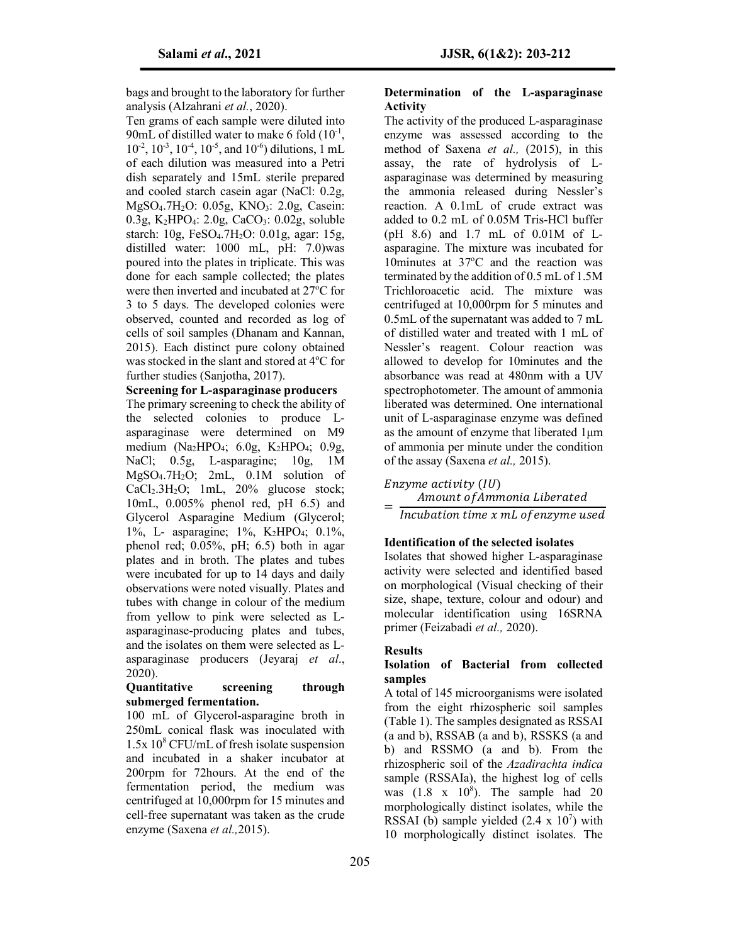bags and brought to the laboratory for further analysis (Alzahrani *et al.*, 2020).

Ten grams of each sample were diluted into 90mL of distilled water to make 6 fold  $(10^{-1},$  $10^{-2}$ ,  $10^{-3}$ ,  $10^{-4}$ ,  $10^{-5}$ , and  $10^{-6}$ ) dilutions, 1 mL of each dilution was measured into a Petri dish separately and 15mL sterile prepared and cooled starch casein agar (NaCl: 0.2g, MgSO<sub>4</sub>.7H<sub>2</sub>O: 0.05g, KNO<sub>3</sub>: 2.0g, Casein: 0.3g, K<sub>2</sub>HPO<sub>4</sub>: 2.0g, CaCO<sub>3</sub>: 0.02g, soluble starch: 10g, FeSO4.7H2O: 0.01g, agar: 15g, distilled water: 1000 mL, pH: 7.0)was poured into the plates in triplicate. This was done for each sample collected; the plates were then inverted and incubated at 27°C for 3 to 5 days. The developed colonies were observed, counted and recorded as log of cells of soil samples (Dhanam and Kannan, 2015). Each distinct pure colony obtained was stocked in the slant and stored at 4°C for further studies (Sanjotha, 2017).

#### **Screening for L-asparaginase producers**

The primary screening to check the ability of the selected colonies to produce Lasparaginase were determined on M9 medium (Na<sub>2</sub>HPO<sub>4</sub>; 6.0g, K<sub>2</sub>HPO<sub>4</sub>; 0.9g, NaCl; 0.5g, L-asparagine; 10g, 1M MgSO4.7H2O; 2mL, 0.1M solution of  $CaCl<sub>2</sub>.3H<sub>2</sub>O$ ; 1mL, 20% glucose stock; 10mL, 0.005% phenol red, pH 6.5) and Glycerol Asparagine Medium (Glycerol; 1%, L- asparagine; 1%, K2HPO4; 0.1%, phenol red; 0.05%, pH; 6.5) both in agar plates and in broth. The plates and tubes were incubated for up to 14 days and daily observations were noted visually. Plates and tubes with change in colour of the medium from yellow to pink were selected as Lasparaginase-producing plates and tubes, and the isolates on them were selected as Lasparaginase producers (Jeyaraj *et al*., 2020).

# **Quantitative screening through submerged fermentation.**

100 mL of Glycerol-asparagine broth in 250mL conical flask was inoculated with  $1.5x\,10^8$  CFU/mL of fresh isolate suspension and incubated in a shaker incubator at 200rpm for 72hours. At the end of the fermentation period, the medium was centrifuged at 10,000rpm for 15 minutes and cell-free supernatant was taken as the crude enzyme (Saxena *et al.,*2015).

# **Determination of the L-asparaginase Activity**

The activity of the produced L-asparaginase enzyme was assessed according to the method of Saxena *et al.,* (2015), in this assay, the rate of hydrolysis of Lasparaginase was determined by measuring the ammonia released during Nessler's reaction. A 0.1mL of crude extract was added to 0.2 mL of 0.05M Tris-HCl buffer (pH 8.6) and 1.7 mL of 0.01M of Lasparagine. The mixture was incubated for 10minutes at 37°C and the reaction was terminated by the addition of 0.5 mL of 1.5M Trichloroacetic acid. The mixture was centrifuged at 10,000rpm for 5 minutes and 0.5mL of the supernatant was added to 7 mL of distilled water and treated with 1 mL of Nessler's reagent. Colour reaction was allowed to develop for 10minutes and the absorbance was read at 480nm with a UV spectrophotometer. The amount of ammonia liberated was determined. One international unit of L-asparaginase enzyme was defined as the amount of enzyme that liberated 1μm of ammonia per minute under the condition of the assay (Saxena *et al.,* 2015).

#### Enzyme activity (IU)

Amount of Ammonia Liberated Incubation time x mL of enzyme used

# **Identification of the selected isolates**

Isolates that showed higher L-asparaginase activity were selected and identified based on morphological (Visual checking of their size, shape, texture, colour and odour) and molecular identification using 16SRNA primer (Feizabadi *et al.,* 2020).

#### **Results**

# **Isolation of Bacterial from collected samples**

A total of 145 microorganisms were isolated from the eight rhizospheric soil samples (Table 1). The samples designated as RSSAI (a and b), RSSAB (a and b), RSSKS (a and b) and RSSMO (a and b). From the rhizospheric soil of the *Azadirachta indica* sample (RSSAIa), the highest log of cells was  $(1.8 \times 10^8)$ . The sample had 20 morphologically distinct isolates, while the RSSAI (b) sample yielded  $(2.4 \times 10^7)$  with 10 morphologically distinct isolates. The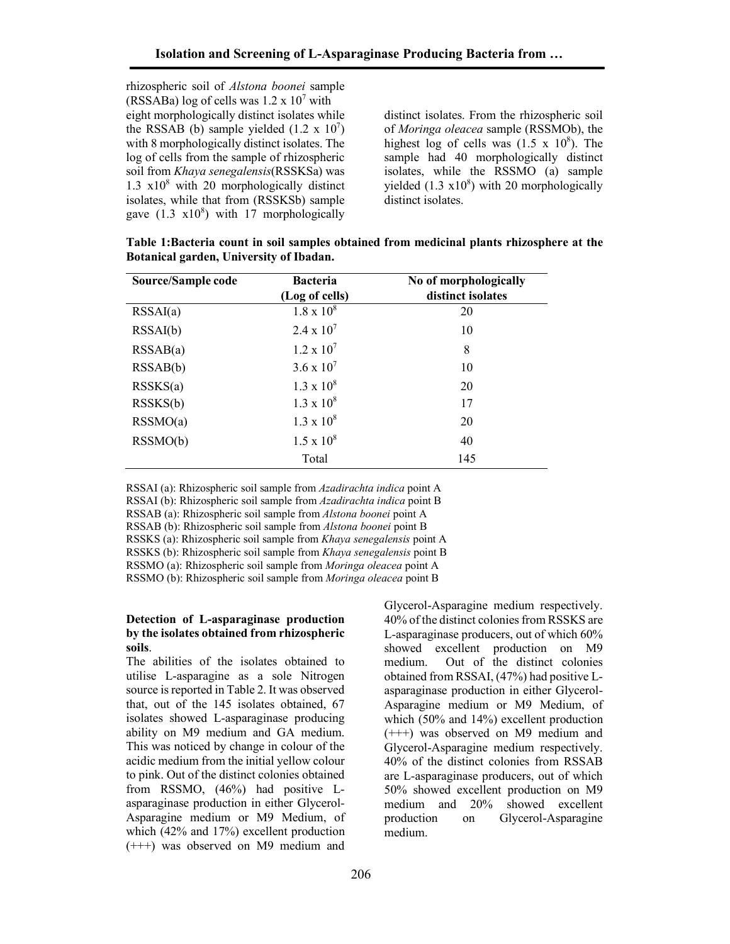rhizospheric soil of *Alstona boonei* sample (RSSABa) log of cells was  $1.2 \times 10^7$  with eight morphologically distinct isolates while the RSSAB (b) sample yielded  $(1.2 \times 10^7)$ with 8 morphologically distinct isolates. The log of cells from the sample of rhizospheric soil from *Khaya senegalensis*(RSSKSa) was 1.3  $\times 10^8$  with 20 morphologically distinct isolates, while that from (RSSKSb) sample gave  $(1.3 \text{ x}10^8)$  with 17 morphologically

distinct isolates. From the rhizospheric soil of *Moringa oleacea* sample (RSSMOb), the highest log of cells was  $(1.5 \times 10^8)$ . The sample had 40 morphologically distinct isolates, while the RSSMO (a) sample yielded  $(1.3 \times 10^8)$  with 20 morphologically distinct isolates.

**Table 1:Bacteria count in soil samples obtained from medicinal plants rhizosphere at the Botanical garden, University of Ibadan.**

| Source/Sample code | <b>Bacteria</b><br>(Log of cells) | No of morphologically<br>distinct isolates |
|--------------------|-----------------------------------|--------------------------------------------|
| RSSAI(a)           | $1.8 \times 10^8$                 | 20                                         |
|                    |                                   |                                            |
| RSSAI(b)           | $2.4 \times 10^{7}$               | 10                                         |
| RSSAB(a)           | $1.2 \times 10^{7}$               | 8                                          |
| RSSAB(b)           | $3.6 \times 10^{7}$               | 10                                         |
| RSSKS(a)           | $1.3 \times 10^8$                 | 20                                         |
| RSSKS(b)           | $1.3 \times 10^8$                 | 17                                         |
| RSSMO(a)           | $1.3 \times 10^8$                 | 20                                         |
| RSSMO(b)           | $1.5 \times 10^8$                 | 40                                         |
|                    | Total                             | 145                                        |

RSSAI (a): Rhizospheric soil sample from *Azadirachta indica* point A RSSAI (b): Rhizospheric soil sample from *Azadirachta indica* point B RSSAB (a): Rhizospheric soil sample from *Alstona boonei* point A RSSAB (b): Rhizospheric soil sample from *Alstona boonei* point B RSSKS (a): Rhizospheric soil sample from *Khaya senegalensis* point A RSSKS (b): Rhizospheric soil sample from *Khaya senegalensis* point B RSSMO (a): Rhizospheric soil sample from *Moringa oleacea* point A RSSMO (b): Rhizospheric soil sample from *Moringa oleacea* point B

# **Detection of L-asparaginase production by the isolates obtained from rhizospheric soils**.

The abilities of the isolates obtained to utilise L-asparagine as a sole Nitrogen source is reported in Table 2. It was observed that, out of the 145 isolates obtained, 67 isolates showed L-asparaginase producing ability on M9 medium and GA medium. This was noticed by change in colour of the acidic medium from the initial yellow colour to pink. Out of the distinct colonies obtained from RSSMO, (46%) had positive Lasparaginase production in either Glycerol-Asparagine medium or M9 Medium, of which (42% and 17%) excellent production (+++) was observed on M9 medium and

Glycerol-Asparagine medium respectively. 40% of the distinct colonies from RSSKS are L-asparaginase producers, out of which 60% showed excellent production on M9 medium. Out of the distinct colonies obtained from RSSAI, (47%) had positive Lasparaginase production in either Glycerol-Asparagine medium or M9 Medium, of which (50% and 14%) excellent production (+++) was observed on M9 medium and Glycerol-Asparagine medium respectively. 40% of the distinct colonies from RSSAB are L-asparaginase producers, out of which 50% showed excellent production on M9 medium and 20% showed excellent production on Glycerol-Asparagine medium.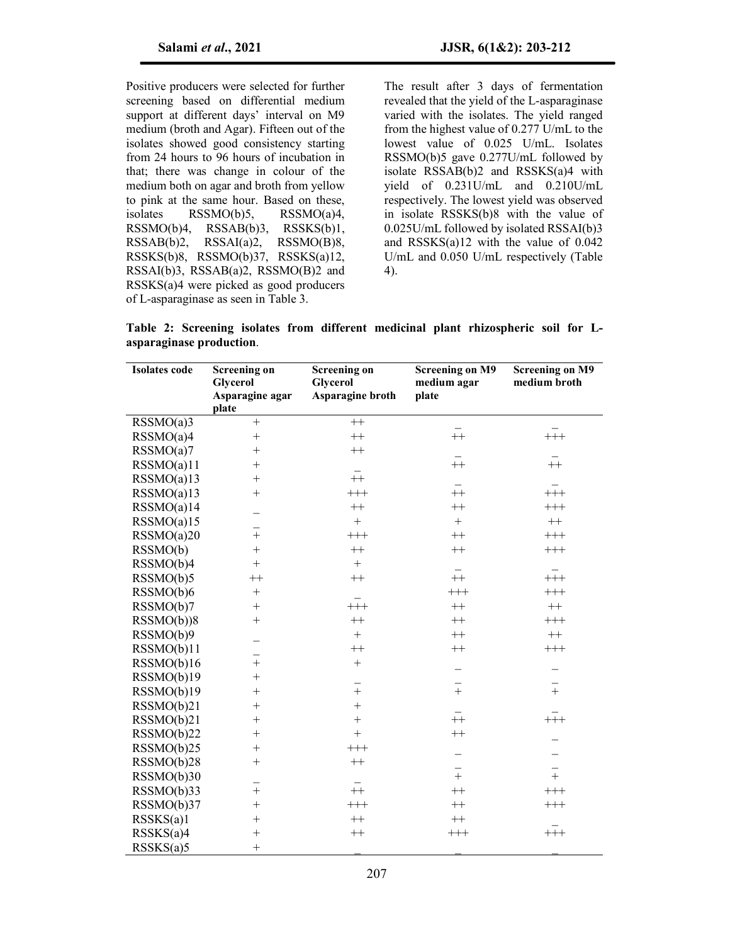Positive producers were selected for further screening based on differential medium support at different days' interval on M9 medium (broth and Agar). Fifteen out of the isolates showed good consistency starting from 24 hours to 96 hours of incubation in that; there was change in colour of the medium both on agar and broth from yellow to pink at the same hour. Based on these, isolates RSSMO(b)5, RSSMO(a)4, RSSMO(b)4, RSSAB(b)3, RSSKS(b)1, RSSAB(b)2, RSSAI(a)2, RSSMO(B)8, RSSKS(b)8, RSSMO(b)37, RSSKS(a)12, RSSAI(b)3, RSSAB(a)2, RSSMO(B)2 and RSSKS(a)4 were picked as good producers of L-asparaginase as seen in Table 3.

The result after 3 days of fermentation revealed that the yield of the L-asparaginase varied with the isolates. The yield ranged from the highest value of 0.277 U/mL to the lowest value of 0.025 U/mL. Isolates RSSMO(b)5 gave 0.277U/mL followed by isolate RSSAB(b)2 and RSSKS(a)4 with yield of 0.231U/mL and 0.210U/mL respectively. The lowest yield was observed in isolate RSSKS(b)8 with the value of 0.025U/mL followed by isolated RSSAI(b)3 and RSSKS(a)12 with the value of 0.042 U/mL and 0.050 U/mL respectively (Table 4).

**Table 2: Screening isolates from different medicinal plant rhizospheric soil for Lasparaginase production**.

| <b>Isolates</b> code | <b>Screening on</b> | <b>Screening on</b> | <b>Screening on M9</b> | <b>Screening on M9</b> |
|----------------------|---------------------|---------------------|------------------------|------------------------|
|                      | <b>Glycerol</b>     | <b>Glycerol</b>     | medium agar            | medium broth           |
|                      | Asparagine agar     | Asparagine broth    | plate                  |                        |
|                      | plate               |                     |                        |                        |
| RSSMO(a)3            | $^{+}$              | $^{++}\,$           |                        |                        |
| RSSMO(a)4            | $+$                 | $^{++}\,$           | $++$                   | $++$                   |
| RSSMO(a)7            | $+$                 | $^{++}\,$           |                        |                        |
| RSSMO(a)11           | $+$                 |                     | $+$                    | $+$                    |
| RSSMO(a)13           | $+$                 | $++$                |                        |                        |
| RSSMO(a)13           | $\! + \!$           | $+++$               | $\bar{++}$             | $+\overline{+}$        |
| RSSMO(a)14           |                     | $^{++}\,$           | $++$                   | $^{+++}$               |
| RSSMO(a)15           |                     | $+$                 | $\boldsymbol{+}$       | $^{++}\,$              |
| RSSMO(a)20           | $\ddot{}$           | $^{+++}$            | $++$                   | $^{+++}$               |
| RSSMO(b)             | $+$                 | $++$                | $++$                   | $^{+++}$               |
| RSSMO(b)4            | $\! + \!$           | $\boldsymbol{+}$    |                        |                        |
| RSSMO(b)5            | $^{++}\,$           | $^{++}\,$           | $\bar{++}$             | $+\overline{+}$        |
| RSSMO(b)6            | $\boldsymbol{+}$    |                     | $^{+++}$               | $++++ \label{eq:1}$    |
| RSSMO(b)7            |                     | $^{+++}$            | $^{++}\,$              | $^{++}\,$              |
| RSSMO(b))8           | $+$                 | $++$                | $++$                   | $++++$                 |
| RSSMO(b)9            | -                   | $+$                 | $++$                   | $++$                   |
| RSSMO(b)11           |                     | $^{++}$             | $++$                   | $++$                   |
| RSSMO(b)16           | $\frac{1}{1}$       | $+$                 | -                      | -                      |
| RSSMO(b)19           | $^{+}$              |                     |                        |                        |
| RSSMO(b)19           | $^{+}$              | $\overline{+}$      | $\overline{+}$         | $\overline{+}$         |
| RSSMO(b)21           | $^{+}$              | $\ddot{}$           |                        |                        |
| RSSMO(b)21           | $+$                 | $\! +$              | $\overline{+}$         | $+\frac{1}{1}$         |
| RSSMO(b)22           | $^{+}$              | $\boldsymbol{+}$    | $+$                    |                        |
| RSSMO(b)25           | $+$                 | $^{+++}$            | -                      |                        |
| RSSMO(b)28           | $^{+}$              | $^{++}\,$           |                        |                        |
| RSSMO(b)30           |                     |                     | $\frac{1}{1}$          | $\frac{1}{1}$          |
| RSSMO(b)33           | $^{+}$              | $++$                | $++$                   | $++$                   |
| RSSMO(b)37           | $^{+}$              | $^{+++}$            | $++$                   | $^{+++}$               |
| RSSKS(a)1            | $^{+}$              | $^{++}\,$           | $^{++}\,$              |                        |
| RSSKS(a)4            | $^{+}$              | $^{++}\,$           | $^{+++}$               | $+\pm$                 |
| RSSKS(a)5            | $\ddot{}$           |                     |                        |                        |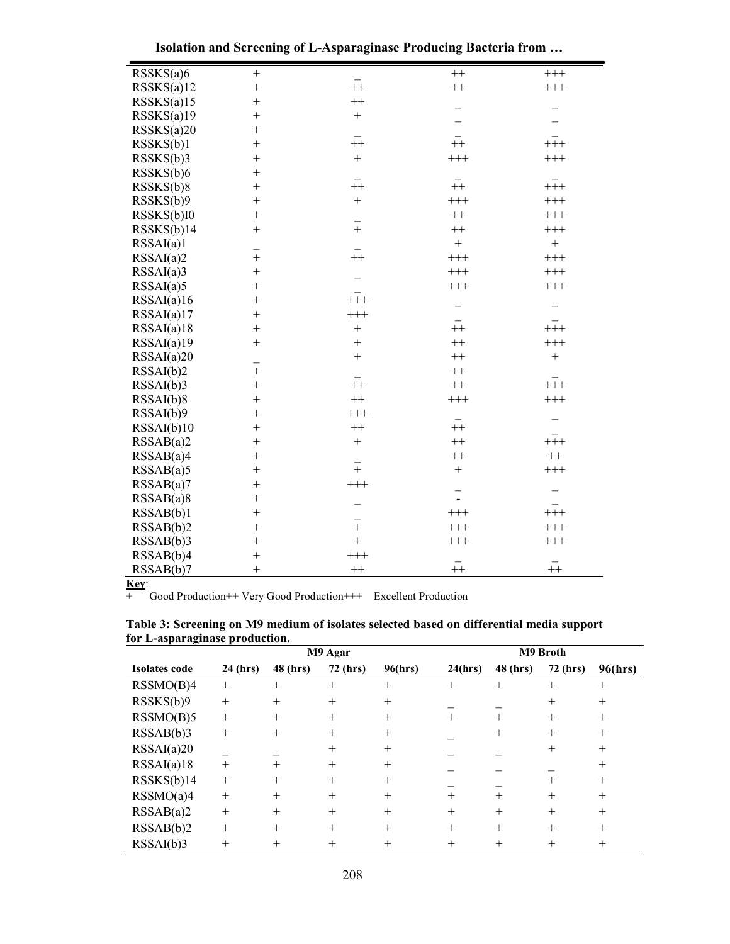|  | Isolation and Screening of L-Asparaginase Producing Bacteria from |  |  |  |  |
|--|-------------------------------------------------------------------|--|--|--|--|
|  |                                                                   |  |  |  |  |

| RSSKS(a)6  | $^+$          |                 | $++$                     | $\!+\!+\!$        |
|------------|---------------|-----------------|--------------------------|-------------------|
| RSSKS(a)12 | $^{+}$        | $\bar{+}$       | $++$                     | $^{+++}$          |
| RSSKS(a)15 | $^{+}$        | $+$             |                          |                   |
| RSSKS(a)19 | $^{+}$        | $\ddot{}$       |                          |                   |
| RSSKS(a)20 | $^{+}$        |                 |                          |                   |
| RSSKS(b)1  | $^{+}$        | $\overline{+}$  | $-$                      | $^{+++}$          |
| RSSKS(b)3  | $^{+}$        | $+$             | $++$                     | $++$              |
| RSSKS(b)6  | $\ddot{}$     |                 |                          |                   |
| RSSKS(b)8  | $^{+}$        | $\overline{+}$  | $+$                      | $+\frac{1}{1}$    |
| RSSKS(b)9  | $\ddot{}$     | $\ddot{}$       | $^{+++}$                 | $++$              |
| RSSKS(b)I0 | $^{+}$        |                 | $+$                      | $++$              |
| RSSKS(b)14 | $^{+}$        | $\frac{1}{+}$   | $++$                     | $^{+++}$          |
| RSSAI(a)1  |               |                 | $\ddot{}$                | $\boldsymbol{+}$  |
| RSSAI(a)2  | $\frac{-}{+}$ | $+$             | $++$                     | $++$              |
| RSSAI(a)3  | $^{+}$        |                 | $++$                     | $++$              |
| RSSAI(a)5  | $^{+}$        |                 | $^{+++}$                 | $^{+++}$          |
| RSSAI(a)16 | $^{+}$        | $+\frac{-}{++}$ |                          |                   |
| RSSAI(a)17 | $\ddot{}$     | $^{+++}$        |                          |                   |
| RSSAI(a)18 | $^{+}$        | $\ddot{}$       | $\bar{+}$                | $+\frac{-}{++}$   |
| RSSAI(a)19 | $^{+}$        | $+$             | $++$                     | $++$              |
| RSSAI(a)20 | $\frac{1}{+}$ | $+$             | $++$                     | $\qquad \qquad +$ |
| RSSAI(b)2  |               |                 | $++$                     |                   |
| RSSAI(b)3  | $\ddot{}$     | $+$             | $^{++}\,$                | $^{+++}$          |
| RSSAI(b)8  | $^{+}$        | $^{++}$         | $++$                     | $++$              |
| RSSAI(b)9  | $^{+}$        | $++$            |                          |                   |
| RSSAI(b)10 | $^{+}$        | $++$            | $\overline{+}$           |                   |
| RSSAB(a)2  | $^{+}$        | $^{+}$          | $++$                     | $++$              |
| RSSAB(a)4  | $\ddot{}$     | $\overline{+}$  | $++$                     | $^{++}\,$         |
| RSSAB(a)5  | $^{+}$        |                 | $\ddot{}$                | $++$              |
| RSSAB(a)7  | $^{+}$        | $^{+++}$        | $\overline{\phantom{a}}$ |                   |
| RSSAB(a)8  | $^{+}$        |                 |                          |                   |
| RSSAB(b)1  | $^{+}$        | $\frac{1}{+}$   | $++$                     | $++$              |
| RSSAB(b)2  | $\ddot{}$     |                 | $++$                     | $++$              |
| RSSAB(b)3  | $^{+}$        | $\ddot{}$       | $++$                     | $++$              |
| RSSAB(b)4  | $^{+}$        | $++$            | $\bar{+}$                |                   |
| RSSAB(b)7  | $^{+}$        | $^{++}\,$       |                          | $^{++}\,$         |

**Key**:

+ Good Production++ Very Good Production+++ Excellent Production

|               |          |          | M9 Agar  |         |         |          | M9 Broth        |         |
|---------------|----------|----------|----------|---------|---------|----------|-----------------|---------|
| Isolates code | 24 (hrs) | 48 (hrs) | 72 (hrs) | 96(hrs) | 24(hrs) | 48 (hrs) | <b>72 (hrs)</b> | 96(hrs) |
| RSSMO(B)4     | $^{+}$   | $+$      | $^{+}$   | $^{+}$  | $^{+}$  | $^{+}$   | $^{+}$          | $^{+}$  |
| RSSKS(b)9     | $+$      | $+$      | $+$      | $+$     |         |          | $^{+}$          | $^{+}$  |
| RSSMO(B)5     | $+$      | $+$      | $+$      | $^{+}$  | $^{+}$  | $^{+}$   | $^{+}$          | $^{+}$  |
| RSSAB(b)3     | $+$      | $+$      | $+$      | $^{+}$  |         | $^{+}$   | $^{+}$          | $^{+}$  |
| RSSAI(a)20    |          |          | $+$      | $^{+}$  |         |          | $^+$            | $^{+}$  |
| RSSAI(a)18    | $+$      | $+$      | $+$      | $^{+}$  |         |          |                 | $^{+}$  |
| RSSKS(b)14    | $+$      | $+$      | $+$      | $+$     |         |          | $^{+}$          | $+$     |
| RSSMO(a)4     | $+$      | $+$      | $+$      | $+$     | $+$     | $+$      | $^{+}$          | $^{+}$  |
| RSSAB(a)2     | $+$      | $+$      | $+$      | $^{+}$  | $+$     | $+$      | $^{+}$          | $^{+}$  |
| RSSAB(b)2     | $+$      | $+$      | $+$      | $+$     | $+$     | $+$      | $^{+}$          | $+$     |
| RSSAI(b)3     | $+$      | $+$      | $^{+}$   | $^{+}$  | $^{+}$  | $+$      | $^+$            | $^{+}$  |

| Table 3: Screening on M9 medium of isolates selected based on differential media support |  |  |  |  |  |
|------------------------------------------------------------------------------------------|--|--|--|--|--|
| for L-asparaginase production.                                                           |  |  |  |  |  |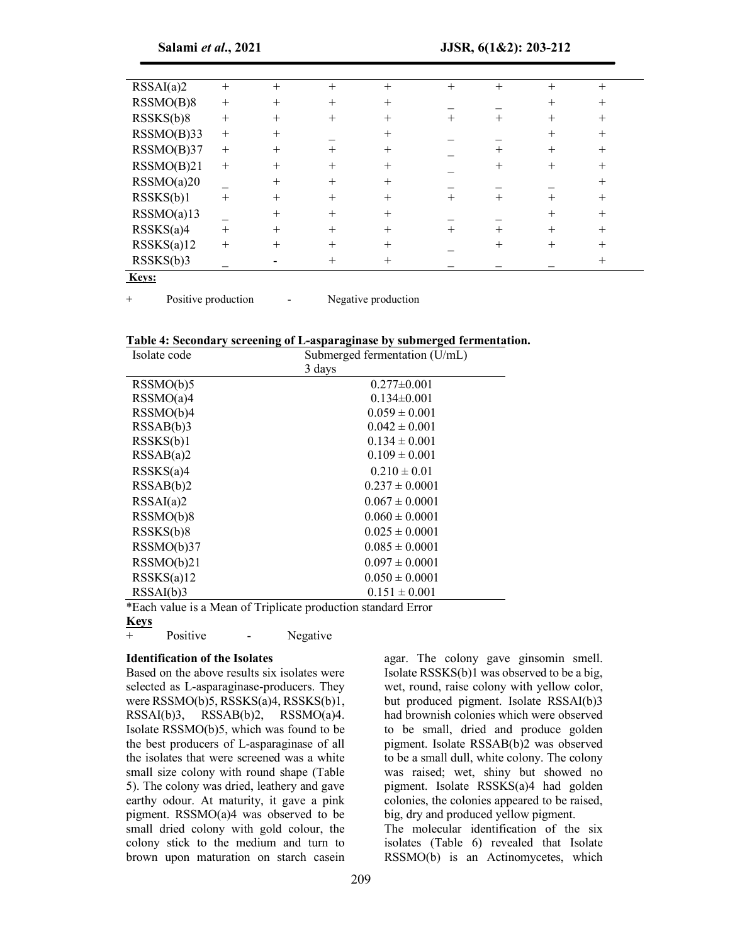| RSSAI(a)2     | $^{+}$ | $+$    | $^{+}$         | $^{+}$         | $+$    | $^{+}$ | $+$    | $^{+}$ |  |
|---------------|--------|--------|----------------|----------------|--------|--------|--------|--------|--|
| RSSMO(B)8     | $^{+}$ | $+$    | $\overline{+}$ | $^{+}$         |        |        |        | $^+$   |  |
| RSSKS(b)8     | $+$    | $+$    | $\, +$         | $\, +$         | $\, +$ |        |        | $^{+}$ |  |
| $RSSMO(B)$ 33 | $^{+}$ | $+$    |                | $^{+}$         |        |        |        | $^{+}$ |  |
| RSSMO(B)37    | $+$    | $+$    | $\, +$         | $\, +$         |        | $^+$   | $^{+}$ | $^{+}$ |  |
| RSSMO(B)21    | $+$    | $^{+}$ | $^{+}$         | $\, + \,$      |        |        |        | $^{+}$ |  |
| RSSMO(a)20    |        | $+$    | $+$            | $^{+}$         |        |        |        | $^{+}$ |  |
| RSSKS(b)1     | $+$    | $+$    | $^{+}$         | $\mathrm{+}$   | $^+$   | $\, +$ |        | $+$    |  |
| RSSMO(a)13    |        | $\pm$  | $^+$           | $\pm$          |        |        |        | $^{+}$ |  |
| RSSKS(a)4     | $+$    | $^{+}$ | $^{+}$         | $\overline{+}$ | $^{+}$ | $^{+}$ | $^+$   | $^{+}$ |  |
| RSSKS(a)12    | $+$    |        |                |                |        |        |        |        |  |
| RSSKS(b)3     |        |        |                |                |        |        |        |        |  |
| $\mathbf{r}$  |        |        |                |                |        |        |        |        |  |

**Keys:**

+ Positive production - Negative production

#### **Table 4: Secondary screening of L-asparaginase by submerged fermentation.**

| Isolate code | Submerged fermentation (U/mL) |
|--------------|-------------------------------|
|              | 3 days                        |
| RSSMO(b)5    | $0.277 \pm 0.001$             |
| RSSMO(a)4    | $0.134\pm0.001$               |
| RSSMO(b)4    | $0.059 \pm 0.001$             |
| RSSAB(b)3    | $0.042 \pm 0.001$             |
| RSSKS(b)1    | $0.134 \pm 0.001$             |
| RSSAB(a)2    | $0.109 \pm 0.001$             |
| RSSKS(a)4    | $0.210 \pm 0.01$              |
| RSSAB(b)2    | $0.237 \pm 0.0001$            |
| RSSAI(a)2    | $0.067 \pm 0.0001$            |
| RSSMO(b)8    | $0.060 \pm 0.0001$            |
| RSSKS(b)8    | $0.025 \pm 0.0001$            |
| RSSMO(b)37   | $0.085 \pm 0.0001$            |
| RSSMO(b)21   | $0.097 \pm 0.0001$            |
| RSSKS(a)12   | $0.050 \pm 0.0001$            |
| RSSAI(b)3    | $0.151 \pm 0.001$             |

\*Each value is a Mean of Triplicate production standard Error

# **Keys**

+ Positive - Negative

# **Identification of the Isolates**

Based on the above results six isolates were selected as L-asparaginase-producers. They were RSSMO(b)5, RSSKS(a)4, RSSKS(b)1, RSSAI(b)3, RSSAB(b)2, RSSMO(a)4. Isolate RSSMO(b)5, which was found to be the best producers of L-asparaginase of all the isolates that were screened was a white small size colony with round shape (Table 5). The colony was dried, leathery and gave earthy odour. At maturity, it gave a pink pigment. RSSMO(a)4 was observed to be small dried colony with gold colour, the colony stick to the medium and turn to brown upon maturation on starch casein

agar. The colony gave ginsomin smell. Isolate RSSKS(b)1 was observed to be a big, wet, round, raise colony with yellow color, but produced pigment. Isolate RSSAI(b)3 had brownish colonies which were observed to be small, dried and produce golden pigment. Isolate RSSAB(b)2 was observed to be a small dull, white colony. The colony was raised; wet, shiny but showed no pigment. Isolate RSSKS(a)4 had golden colonies, the colonies appeared to be raised, big, dry and produced yellow pigment.

The molecular identification of the six isolates (Table 6) revealed that Isolate RSSMO(b) is an Actinomycetes, which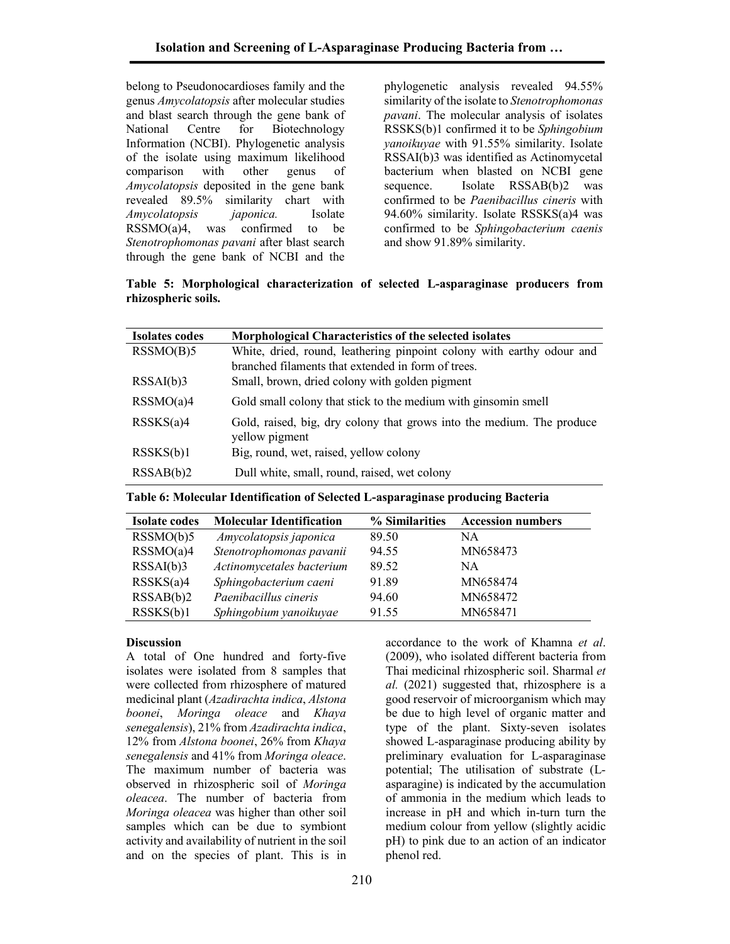belong to Pseudonocardioses family and the genus *Amycolatopsis* after molecular studies and blast search through the gene bank of National Centre for Biotechnology Information (NCBI). Phylogenetic analysis of the isolate using maximum likelihood comparison with other genus of *Amycolatopsis* deposited in the gene bank revealed 89.5% similarity chart with *Amycolatopsis japonica.* Isolate RSSMO(a)4, was confirmed to be *Stenotrophomonas pavani* after blast search through the gene bank of NCBI and the

phylogenetic analysis revealed 94.55% similarity of the isolate to *Stenotrophomonas pavani*. The molecular analysis of isolates RSSKS(b)1 confirmed it to be *Sphingobium yanoikuyae* with 91.55% similarity. Isolate RSSAI(b)3 was identified as Actinomycetal bacterium when blasted on NCBI gene sequence. Isolate RSSAB(b)2 was confirmed to be *Paenibacillus cineris* with 94.60% similarity. Isolate RSSKS(a)4 was confirmed to be *Sphingobacterium caenis* and show 91.89% similarity.

**Table 5: Morphological characterization of selected L-asparaginase producers from rhizospheric soils.**

| <b>Isolates codes</b> | <b>Morphological Characteristics of the selected isolates</b>                           |
|-----------------------|-----------------------------------------------------------------------------------------|
| RSSMO(B)5             | White, dried, round, leathering pinpoint colony with earthy odour and                   |
|                       | branched filaments that extended in form of trees.                                      |
| RSSAI(b)3             | Small, brown, dried colony with golden pigment                                          |
| RSSMO(a)4             | Gold small colony that stick to the medium with ginsomin smell                          |
| RSSKS(a)4             | Gold, raised, big, dry colony that grows into the medium. The produce<br>yellow pigment |
| RSSKS(b)1             | Big, round, wet, raised, yellow colony                                                  |
|                       |                                                                                         |
| RSSAB(b)2             | Dull white, small, round, raised, wet colony                                            |

**Table 6: Molecular Identification of Selected L-asparaginase producing Bacteria**

| <b>Isolate codes</b> | <b>Molecular Identification</b> | % Similarities | <b>Accession numbers</b> |
|----------------------|---------------------------------|----------------|--------------------------|
| RSSMO(b)5            | Amycolatopsis japonica          | 89.50          | NА                       |
| RSSMO(a)4            | Stenotrophomonas pavanii        | 94.55          | MN658473                 |
| RSSAI(b)3            | Actinomycetales bacterium       | 89.52          | NА                       |
| RSSKS(a)4            | Sphingobacterium caeni          | 91.89          | MN658474                 |
| RSSAB(b)2            | Paenibacillus cineris           | 94.60          | MN658472                 |
| RSSKS(b)1            | Sphingobium yanoikuyae          | 91.55          | MN658471                 |

# **Discussion**

A total of One hundred and forty-five isolates were isolated from 8 samples that were collected from rhizosphere of matured medicinal plant (*Azadirachta indica*, *Alstona boonei*, *Moringa oleace* and *Khaya senegalensis*), 21% from *Azadirachta indica*, 12% from *Alstona boonei*, 26% from *Khaya senegalensis* and 41% from *Moringa oleace*. The maximum number of bacteria was observed in rhizospheric soil of *Moringa oleacea*. The number of bacteria from *Moringa oleacea* was higher than other soil samples which can be due to symbiont activity and availability of nutrient in the soil and on the species of plant. This is in

accordance to the work of Khamna *et al*. (2009), who isolated different bacteria from Thai medicinal rhizospheric soil. Sharmal *et al.* (2021) suggested that, rhizosphere is a good reservoir of microorganism which may be due to high level of organic matter and type of the plant. Sixty-seven isolates showed L-asparaginase producing ability by preliminary evaluation for L-asparaginase potential; The utilisation of substrate (Lasparagine) is indicated by the accumulation of ammonia in the medium which leads to increase in pH and which in-turn turn the medium colour from yellow (slightly acidic pH) to pink due to an action of an indicator phenol red.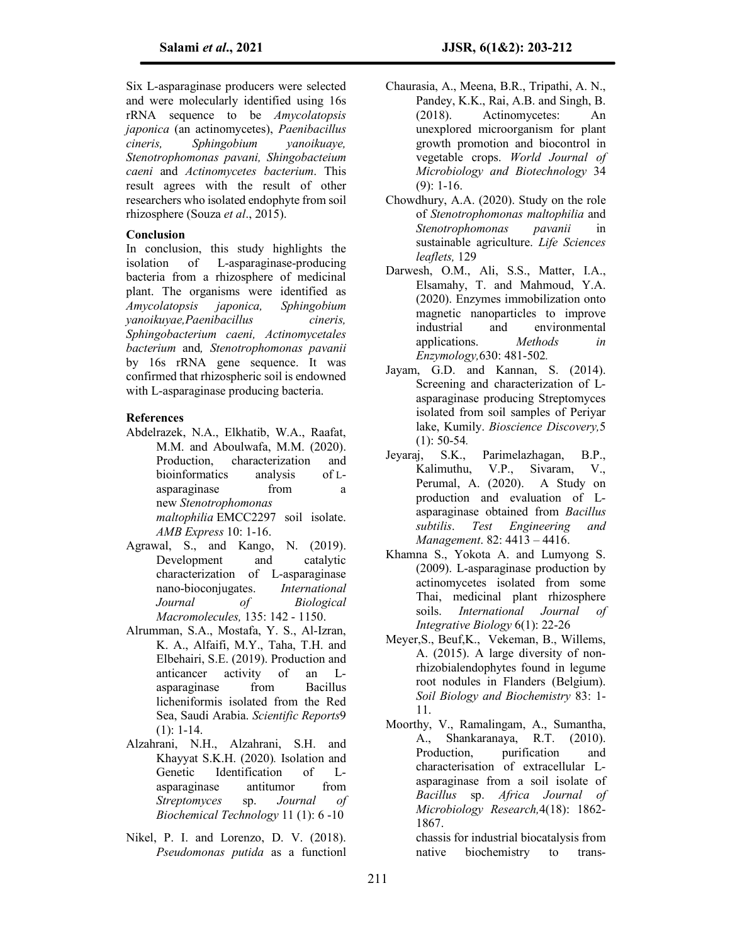Six L-asparaginase producers were selected and were molecularly identified using 16s rRNA sequence to be *Amycolatopsis japonica* (an actinomycetes), *Paenibacillus cineris, Sphingobium yanoikuaye, Stenotrophomonas pavani, Shingobacteium caeni* and *Actinomycetes bacterium*. This result agrees with the result of other researchers who isolated endophyte from soil rhizosphere (Souza *et al*., 2015).

### **Conclusion**

In conclusion, this study highlights the isolation of L-asparaginase-producing bacteria from a rhizosphere of medicinal plant. The organisms were identified as *Amycolatopsis japonica, Sphingobium yanoikuyae,Paenibacillus cineris, Sphingobacterium caeni, Actinomycetales bacterium* and*, Stenotrophomonas pavanii* by 16s rRNA gene sequence. It was confirmed that rhizospheric soil is endowned with L-asparaginase producing bacteria.

# **References**

- Abdelrazek, N.A., Elkhatib, W.A., Raafat, M.M. and Aboulwafa, M.M. (2020). Production, characterization and bioinformatics analysis of Lasparaginase from a new *Stenotrophomonas maltophilia* EMCC2297 soil isolate. *AMB Express* 10: 1-16.
- Agrawal, S., and Kango, N. (2019). Development and catalytic characterization of L-asparaginase nano-bioconjugates. *International Journal of Biological Macromolecules,* 135: 142 - 1150.
- Alrumman, S.A., Mostafa, Y. S., Al-Izran, K. A., Alfaifi, M.Y., Taha, T.H. and Elbehairi, S.E. (2019). Production and anticancer activity of an Lasparaginase from Bacillus licheniformis isolated from the Red Sea, Saudi Arabia. *Scientific Reports*9 (1): 1-14.
- Alzahrani, N.H., Alzahrani, S.H. and Khayyat S.K.H. (2020)*.* Isolation and Genetic Identification of Lasparaginase antitumor from *Streptomyces* sp. *Journal of Biochemical Technology* 11 (1): 6 -10
- Nikel, P. I. and Lorenzo, D. V. (2018). *Pseudomonas putida* as a functionl
- Chaurasia, A., Meena, B.R., Tripathi, A. N., Pandey, K.K., Rai, A.B. and Singh, B.<br>(2018). Actinomycetes: An Actinomycetes: An unexplored microorganism for plant growth promotion and biocontrol in vegetable crops. *World Journal of Microbiology and Biotechnology* 34  $(9): 1-16.$
- Chowdhury, A.A. (2020). Study on the role of *Stenotrophomonas maltophilia* and *Stenotrophomonas pavanii* in sustainable agriculture. *Life Sciences leaflets,* 129
- Darwesh, O.M., Ali, S.S., Matter, I.A., Elsamahy, T. and Mahmoud, Y.A. (2020). Enzymes immobilization onto magnetic nanoparticles to improve industrial and environmental applications. *Methods in Enzymology,*630: 481-502*.*
- Jayam, G.D. and Kannan, S. (2014). Screening and characterization of Lasparaginase producing Streptomyces isolated from soil samples of Periyar lake, Kumily. *Bioscience Discovery,*5 (1): 50-54*.*
- Jeyaraj, S.K., Parimelazhagan, B.P., Kalimuthu, V.P., Sivaram, V., Perumal, A. (2020). A Study on production and evaluation of Lasparaginase obtained from *Bacillus subtilis*. *Test Engineering and Management*. 82: 4413 – 4416.
- Khamna S., Yokota A. and Lumyong S. (2009). L-asparaginase production by actinomycetes isolated from some Thai, medicinal plant rhizosphere soils. *International Journal of Integrative Biology* 6(1): 22-26
- Meyer,S., Beuf,K., Vekeman, B., Willems, A. (2015). A large diversity of nonrhizobialendophytes found in legume root nodules in Flanders (Belgium). *Soil Biology and Biochemistry* 83: 1- 11.
- Moorthy, V., Ramalingam, A., Sumantha, A., Shankaranaya, R.T. (2010). Production, purification and characterisation of extracellular Lasparaginase from a soil isolate of *Bacillus* sp. *Africa Journal of Microbiology Research,*4(18): 1862- 1867.

chassis for industrial biocatalysis from native biochemistry to trans